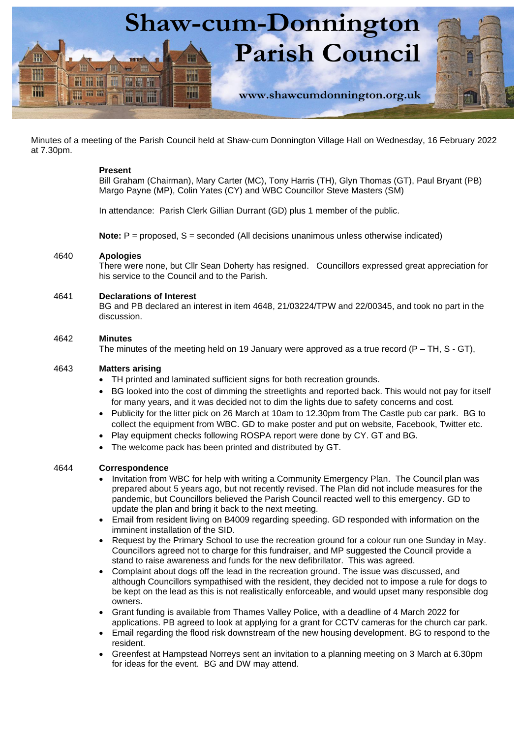

Minutes of a meeting of the Parish Council held at Shaw-cum Donnington Village Hall on Wednesday, 16 February 2022 at 7.30pm.

# **Present**

Bill Graham (Chairman), Mary Carter (MC), Tony Harris (TH), Glyn Thomas (GT), Paul Bryant (PB) Margo Payne (MP), Colin Yates (CY) and WBC Councillor Steve Masters (SM)

In attendance: Parish Clerk Gillian Durrant (GD) plus 1 member of the public.

**Note:**  $P =$  proposed, S = seconded (All decisions unanimous unless otherwise indicated)

# 4640 **Apologies**

There were none, but Cllr Sean Doherty has resigned. Councillors expressed great appreciation for his service to the Council and to the Parish.

# 4641 **Declarations of Interest**

BG and PB declared an interest in item 4648, 21/03224/TPW and 22/00345, and took no part in the discussion.

# 4642 **Minutes**

The minutes of the meeting held on 19 January were approved as a true record  $(P - TH, S - GT)$ ,

### 4643 **Matters arising**

- TH printed and laminated sufficient signs for both recreation grounds.
- BG looked into the cost of dimming the streetlights and reported back. This would not pay for itself for many years, and it was decided not to dim the lights due to safety concerns and cost.
- Publicity for the litter pick on 26 March at 10am to 12.30pm from The Castle pub car park. BG to collect the equipment from WBC. GD to make poster and put on website, Facebook, Twitter etc.
- Play equipment checks following ROSPA report were done by CY. GT and BG.
- The welcome pack has been printed and distributed by GT.

# 4644 **Correspondence**

- Invitation from WBC for help with writing a Community Emergency Plan. The Council plan was prepared about 5 years ago, but not recently revised. The Plan did not include measures for the pandemic, but Councillors believed the Parish Council reacted well to this emergency. GD to update the plan and bring it back to the next meeting.
- Email from resident living on B4009 regarding speeding. GD responded with information on the imminent installation of the SID.
- Request by the Primary School to use the recreation ground for a colour run one Sunday in May. Councillors agreed not to charge for this fundraiser, and MP suggested the Council provide a stand to raise awareness and funds for the new defibrillator. This was agreed.
- Complaint about dogs off the lead in the recreation ground. The issue was discussed, and although Councillors sympathised with the resident, they decided not to impose a rule for dogs to be kept on the lead as this is not realistically enforceable, and would upset many responsible dog owners.
- Grant funding is available from Thames Valley Police, with a deadline of 4 March 2022 for applications. PB agreed to look at applying for a grant for CCTV cameras for the church car park.
- Email regarding the flood risk downstream of the new housing development. BG to respond to the resident.
- Greenfest at Hampstead Norreys sent an invitation to a planning meeting on 3 March at 6.30pm for ideas for the event. BG and DW may attend.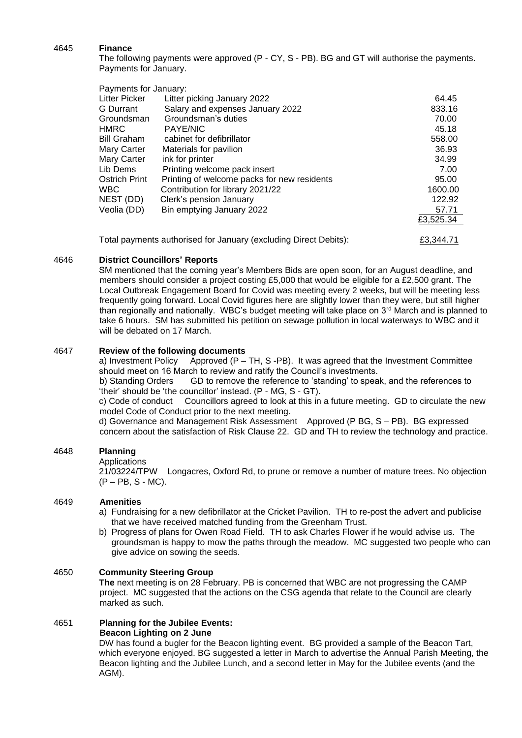#### 4645 **Finance**

The following payments were approved (P - CY, S - PB). BG and GT will authorise the payments. Payments for January.

| Payments for January: |                                             |           |
|-----------------------|---------------------------------------------|-----------|
| Litter Picker         | Litter picking January 2022                 | 64.45     |
| <b>G</b> Durrant      | Salary and expenses January 2022            | 833.16    |
| Groundsman            | Groundsman's duties                         | 70.00     |
| <b>HMRC</b>           | <b>PAYE/NIC</b>                             | 45.18     |
| <b>Bill Graham</b>    | cabinet for defibrillator                   | 558.00    |
| Mary Carter           | Materials for pavilion                      | 36.93     |
| Mary Carter           | ink for printer                             | 34.99     |
| Lib Dems              | Printing welcome pack insert                | 7.00      |
| <b>Ostrich Print</b>  | Printing of welcome packs for new residents | 95.00     |
| <b>WBC</b>            | Contribution for library 2021/22            | 1600.00   |
| NEST (DD)             | Clerk's pension January                     | 122.92    |
| Veolia (DD)           | Bin emptying January 2022                   | 57.71     |
|                       |                                             | £3,525.34 |
|                       |                                             |           |

Total payments authorised for January (excluding Direct Debits):  $\qquad 23,344.71$ 

#### 4646 **District Councillors' Reports**

SM mentioned that the coming year's Members Bids are open soon, for an August deadline, and members should consider a project costing £5,000 that would be eligible for a £2,500 grant. The Local Outbreak Engagement Board for Covid was meeting every 2 weeks, but will be meeting less frequently going forward. Local Covid figures here are slightly lower than they were, but still higher than regionally and nationally. WBC's budget meeting will take place on  $3<sup>rd</sup>$  March and is planned to take 6 hours. SM has submitted his petition on sewage pollution in local waterways to WBC and it will be debated on 17 March.

#### 4647 **Review of the following documents**

a) Investment Policy Approved  $(P - TH, S - PB)$ . It was agreed that the Investment Committee should meet on 16 March to review and ratify the Council's investments.

b) Standing Orders GD to remove the reference to 'standing' to speak, and the references to 'their' should be 'the councillor' instead. (P - MG, S - GT).

c) Code of conduct Councillors agreed to look at this in a future meeting. GD to circulate the new model Code of Conduct prior to the next meeting.

d) Governance and Management Risk Assessment Approved (P BG, S – PB). BG expressed concern about the satisfaction of Risk Clause 22. GD and TH to review the technology and practice.

#### 4648 **Planning**

#### Applications

21/03224/TPW Longacres, Oxford Rd, to prune or remove a number of mature trees. No objection  $(P - PB, S - MC)$ .

#### 4649 **Amenities**

- a) Fundraising for a new defibrillator at the Cricket Pavilion. TH to re-post the advert and publicise that we have received matched funding from the Greenham Trust.
- b) Progress of plans for Owen Road Field. TH to ask Charles Flower if he would advise us. The groundsman is happy to mow the paths through the meadow. MC suggested two people who can give advice on sowing the seeds.

# 4650 **Community Steering Group**

**The** next meeting is on 28 February. PB is concerned that WBC are not progressing the CAMP project. MC suggested that the actions on the CSG agenda that relate to the Council are clearly marked as such.

# 4651 **Planning for the Jubilee Events:**

# **Beacon Lighting on 2 June**

DW has found a bugler for the Beacon lighting event. BG provided a sample of the Beacon Tart, which everyone enjoyed. BG suggested a letter in March to advertise the Annual Parish Meeting, the Beacon lighting and the Jubilee Lunch, and a second letter in May for the Jubilee events (and the AGM).